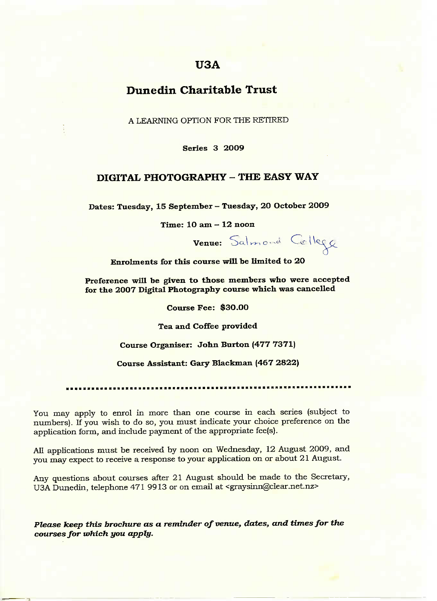# **USA**

# **Dunedin Charitable Trust**

A LEARNING OPTION FOR THE RETIRED

**Series 3 2OO9**

### **DIGITAL PHOTOGRAPHY - THE EASY WAY**

**Dates: Tuesday, 15 September - Tuesday, 2O October 2009**

Time: **1O am - 12 noon**

Venue: Salmond College er

**Enrolments for this course will be limited to 20**

**Preference will be given to those members who were accepted for the 2007 Digital Photography course which was cancelled**

**Course Fee: \$30.00**

**Tea and Coffee provided**

**Course Organiser: John Burton (477 7371)**

**Course Assistant: Gary Blackman (467 2822)**

You may apply to enrol in more than one course in each series (subject to numbers). If you wish to do so, you must indicate your choice preference on the application form, and include payment of the appropriate fee(s).

All applications must be received by noon on Wednesday, 12 August 2009, and you may expect to receive a response to your application on or about 21 August.

Any questions about courses after 21 August should be made to the Secretary, USA Dunedin, telephone 471 9913 or on email at <graysinn@clear.net.nz>

*Please keep this brochure as a reminder of venue, dates, and times for the courses for which you apply.*